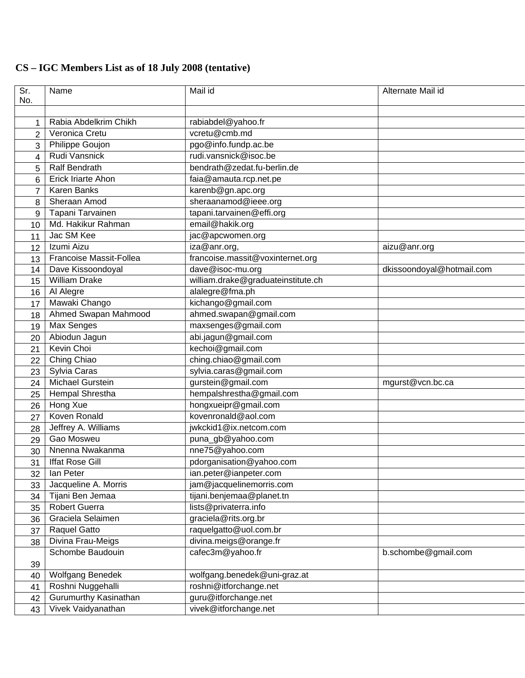## **CS – IGC Members List as of 18 July 2008 (tentative)**

| Sr.            | Name                                      | Mail id                            | Alternate Mail id         |
|----------------|-------------------------------------------|------------------------------------|---------------------------|
| No.            |                                           |                                    |                           |
|                | Rabia Abdelkrim Chikh                     | rabiabdel@yahoo.fr                 |                           |
| 1              | Veronica Cretu                            | vcretu@cmb.md                      |                           |
| $\overline{2}$ | <b>Philippe Goujon</b>                    | pgo@info.fundp.ac.be               |                           |
| 3              | Rudi Vansnick                             | rudi.vansnick@isoc.be              |                           |
| 4              | <b>Ralf Bendrath</b>                      | bendrath@zedat.fu-berlin.de        |                           |
| 5              | Erick Iriarte Ahon                        | faia@amauta.rcp.net.pe             |                           |
| 6              | <b>Karen Banks</b>                        | karenb@gn.apc.org                  |                           |
| $\overline{7}$ | Sheraan Amod                              | sheraanamod@ieee.org               |                           |
| 8              | Tapani Tarvainen                          | tapani.tarvainen@effi.org          |                           |
| 9              | Md. Hakikur Rahman                        |                                    |                           |
| 10             | Jac SM Kee                                | email@hakik.org                    |                           |
| 11             |                                           | jac@apcwomen.org                   |                           |
| 12             | Izumi Aizu                                | iza@anr.org,                       | aizu@anr.org              |
| 13             | Francoise Massit-Follea                   | francoise.massit@voxinternet.org   |                           |
| 14             | Dave Kissoondoyal<br><b>William Drake</b> | dave@isoc-mu.org                   | dkissoondoyal@hotmail.com |
| 15             |                                           | william.drake@graduateinstitute.ch |                           |
| 16             | Al Alegre                                 | alalegre@fma.ph                    |                           |
| 17             | Mawaki Chango                             | kichango@gmail.com                 |                           |
| 18             | <b>Ahmed Swapan Mahmood</b>               | ahmed.swapan@gmail.com             |                           |
| 19             | Max Senges                                | maxsenges@gmail.com                |                           |
| 20             | Abiodun Jagun                             | abi.jagun@gmail.com                |                           |
| 21             | Kevin Choi                                | kechoi@gmail.com                   |                           |
| 22             | Ching Chiao                               | ching.chiao@gmail.com              |                           |
| 23             | Sylvia Caras                              | sylvia.caras@gmail.com             |                           |
| 24             | <b>Michael Gurstein</b>                   | gurstein@gmail.com                 | mgurst@vcn.bc.ca          |
| 25             | Hempal Shrestha                           | hempalshrestha@gmail.com           |                           |
| 26             | Hong Xue                                  | hongxueipr@gmail.com               |                           |
| 27             | Koven Ronald                              | kovenronald@aol.com                |                           |
| 28             | Jeffrey A. Williams                       | jwkckid1@ix.netcom.com             |                           |
| 29             | Gao Mosweu                                | puna_gb@yahoo.com                  |                           |
| 30             | Nnenna Nwakanma                           | nne75@yahoo.com                    |                           |
| 31             | <b>Iffat Rose Gill</b>                    | pdorganisation@yahoo.com           |                           |
| 32             | lan Peter                                 | ian.peter@ianpeter.com             |                           |
| 33             | Jacqueline A. Morris                      | jam@jacquelinemorris.com           |                           |
| 34             | Tijani Ben Jemaa                          | tijani.benjemaa@planet.tn          |                           |
| 35             | <b>Robert Guerra</b>                      | lists@privaterra.info              |                           |
| 36             | Graciela Selaimen                         | graciela@rits.org.br               |                           |
| 37             | Raquel Gatto                              | raquelgatto@uol.com.br             |                           |
| 38             | Divina Frau-Meigs                         | divina.meigs@orange.fr             |                           |
|                | Schombe Baudouin                          | cafec3m@yahoo.fr                   | b.schombe@gmail.com       |
| 39             |                                           |                                    |                           |
| 40             | <b>Wolfgang Benedek</b>                   | wolfgang.benedek@uni-graz.at       |                           |
| 41             | Roshni Nuggehalli                         | roshni@itforchange.net             |                           |
| 42             | <b>Gurumurthy Kasinathan</b>              | guru@itforchange.net               |                           |
| 43             | Vivek Vaidyanathan                        | vivek@itforchange.net              |                           |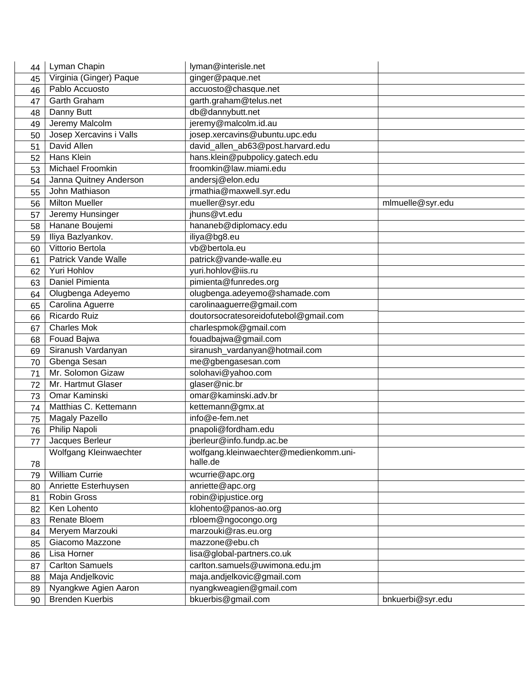| 44 | Lyman Chapin               | lyman@interisle.net                    |                  |
|----|----------------------------|----------------------------------------|------------------|
| 45 | Virginia (Ginger) Paque    | ginger@paque.net                       |                  |
| 46 | Pablo Accuosto             | accuosto@chasque.net                   |                  |
| 47 | Garth Graham               | garth.graham@telus.net                 |                  |
| 48 | Danny Butt                 | db@dannybutt.net                       |                  |
| 49 | Jeremy Malcolm             | jeremy@malcolm.id.au                   |                  |
| 50 | Josep Xercavins i Valls    | josep.xercavins@ubuntu.upc.edu         |                  |
| 51 | David Allen                | david_allen_ab63@post.harvard.edu      |                  |
| 52 | Hans Klein                 | hans.klein@pubpolicy.gatech.edu        |                  |
| 53 | Michael Froomkin           | froomkin@law.miami.edu                 |                  |
| 54 | Janna Quitney Anderson     | andersj@elon.edu                       |                  |
| 55 | John Mathiason             | jrmathia@maxwell.syr.edu               |                  |
| 56 | Milton Mueller             | mueller@syr.edu                        | mlmuelle@syr.edu |
| 57 | Jeremy Hunsinger           | jhuns@vt.edu                           |                  |
| 58 | Hanane Boujemi             | hananeb@diplomacy.edu                  |                  |
| 59 | Iliya Bazlyankov.          | iliya@bg8.eu                           |                  |
| 60 | Vittorio Bertola           | vb@bertola.eu                          |                  |
| 61 | <b>Patrick Vande Walle</b> | patrick@vande-walle.eu                 |                  |
| 62 | Yuri Hohlov                | yuri.hohlov@iis.ru                     |                  |
| 63 | Daniel Pimienta            | pimienta@funredes.org                  |                  |
| 64 | Olugbenga Adeyemo          | olugbenga.adeyemo@shamade.com          |                  |
| 65 | Carolina Aguerre           | carolinaaguerre@gmail.com              |                  |
| 66 | Ricardo Ruiz               | doutorsocratesoreidofutebol@gmail.com  |                  |
| 67 | <b>Charles Mok</b>         | charlespmok@gmail.com                  |                  |
| 68 | Fouad Bajwa                | fouadbajwa@gmail.com                   |                  |
| 69 | Siranush Vardanyan         | siranush_vardanyan@hotmail.com         |                  |
| 70 | Gbenga Sesan               | me@gbengasesan.com                     |                  |
| 71 | Mr. Solomon Gizaw          | solohavi@yahoo.com                     |                  |
| 72 | Mr. Hartmut Glaser         | glaser@nic.br                          |                  |
| 73 | Omar Kaminski              | omar@kaminski.adv.br                   |                  |
| 74 | Matthias C. Kettemann      | kettemann@gmx.at                       |                  |
| 75 | <b>Magaly Pazello</b>      | info@e-fem.net                         |                  |
| 76 | Philip Napoli              | pnapoli@fordham.edu                    |                  |
| 77 | Jacques Berleur            | jberleur@info.fundp.ac.be              |                  |
|    | Wolfgang Kleinwaechter     | wolfgang.kleinwaechter@medienkomm.uni- |                  |
| 78 |                            | halle.de                               |                  |
| 79 | <b>William Currie</b>      | wcurrie@apc.org                        |                  |
| 80 | Anriette Esterhuysen       | anriette@apc.org                       |                  |
| 81 | Robin Gross                | robin@ipjustice.org                    |                  |
| 82 | Ken Lohento                | klohento@panos-ao.org                  |                  |
| 83 | Renate Bloem               | rbloem@ngocongo.org                    |                  |
| 84 | Meryem Marzouki            | marzouki@ras.eu.org                    |                  |
| 85 | Giacomo Mazzone            | mazzone@ebu.ch                         |                  |
| 86 | Lisa Horner                | lisa@global-partners.co.uk             |                  |
| 87 | <b>Carlton Samuels</b>     | carlton.samuels@uwimona.edu.jm         |                  |
| 88 | Maja Andjelkovic           | maja.andjelkovic@gmail.com             |                  |
| 89 | Nyangkwe Agien Aaron       | nyangkweagien@gmail.com                |                  |
| 90 | <b>Brenden Kuerbis</b>     | bkuerbis@gmail.com                     | bnkuerbi@syr.edu |